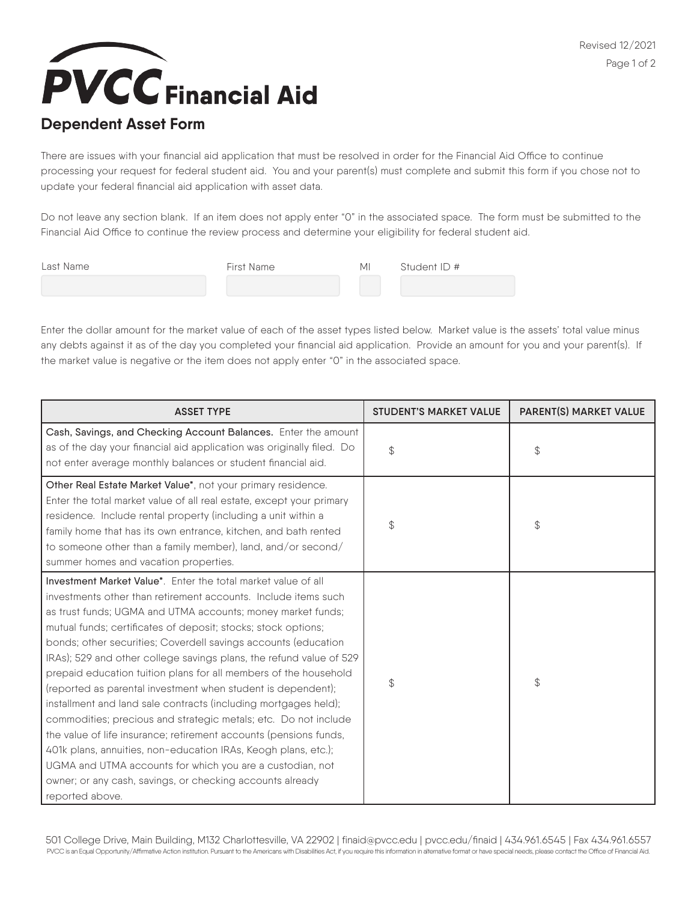**PVCC** Financial Aid

## **Dependent Asset Form**

There are issues with your financial aid application that must be resolved in order for the Financial Aid Office to continue processing your request for federal student aid. You and your parent(s) must complete and submit this form if you chose not to update your federal financial aid application with asset data.

Do not leave any section blank. If an item does not apply enter "0" in the associated space. The form must be submitted to the Financial Aid Office to continue the review process and determine your eligibility for federal student aid.

| Last Name | First Name | MI | Student ID # |
|-----------|------------|----|--------------|
|           |            |    |              |

Enter the dollar amount for the market value of each of the asset types listed below. Market value is the assets' total value minus any debts against it as of the day you completed your financial aid application. Provide an amount for you and your parent(s). If the market value is negative or the item does not apply enter "0" in the associated space.

| <b>ASSET TYPE</b>                                                                                                                                                                                                                                                                                                                                                                                                                                                                                                                                                                                                                                                                                                                                                                                                                                                                                                                                                      | <b>STUDENT'S MARKET VALUE</b> | <b>PARENT(S) MARKET VALUE</b> |
|------------------------------------------------------------------------------------------------------------------------------------------------------------------------------------------------------------------------------------------------------------------------------------------------------------------------------------------------------------------------------------------------------------------------------------------------------------------------------------------------------------------------------------------------------------------------------------------------------------------------------------------------------------------------------------------------------------------------------------------------------------------------------------------------------------------------------------------------------------------------------------------------------------------------------------------------------------------------|-------------------------------|-------------------------------|
| Cash, Savings, and Checking Account Balances. Enter the amount<br>as of the day your financial aid application was originally filed. Do<br>not enter average monthly balances or student financial aid.                                                                                                                                                                                                                                                                                                                                                                                                                                                                                                                                                                                                                                                                                                                                                                | $\mathcal{Z}$                 | \$                            |
| Other Real Estate Market Value*, not your primary residence.<br>Enter the total market value of all real estate, except your primary<br>residence. Include rental property (including a unit within a<br>family home that has its own entrance, kitchen, and bath rented<br>to someone other than a family member), land, and/or second/<br>summer homes and vacation properties.                                                                                                                                                                                                                                                                                                                                                                                                                                                                                                                                                                                      | \$                            | $\mathcal{L}$                 |
| Investment Market Value*. Enter the total market value of all<br>investments other than retirement accounts. Include items such<br>as trust funds; UGMA and UTMA accounts; money market funds;<br>mutual funds; certificates of deposit; stocks; stock options;<br>bonds; other securities; Coverdell savings accounts (education<br>IRAs); 529 and other college savings plans, the refund value of 529<br>prepaid education tuition plans for all members of the household<br>(reported as parental investment when student is dependent);<br>installment and land sale contracts (including mortgages held);<br>commodities; precious and strategic metals; etc. Do not include<br>the value of life insurance; retirement accounts (pensions funds,<br>401k plans, annuities, non-education IRAs, Keogh plans, etc.);<br>UGMA and UTMA accounts for which you are a custodian, not<br>owner; or any cash, savings, or checking accounts already<br>reported above. | \$                            | $\mathcal{L}$                 |